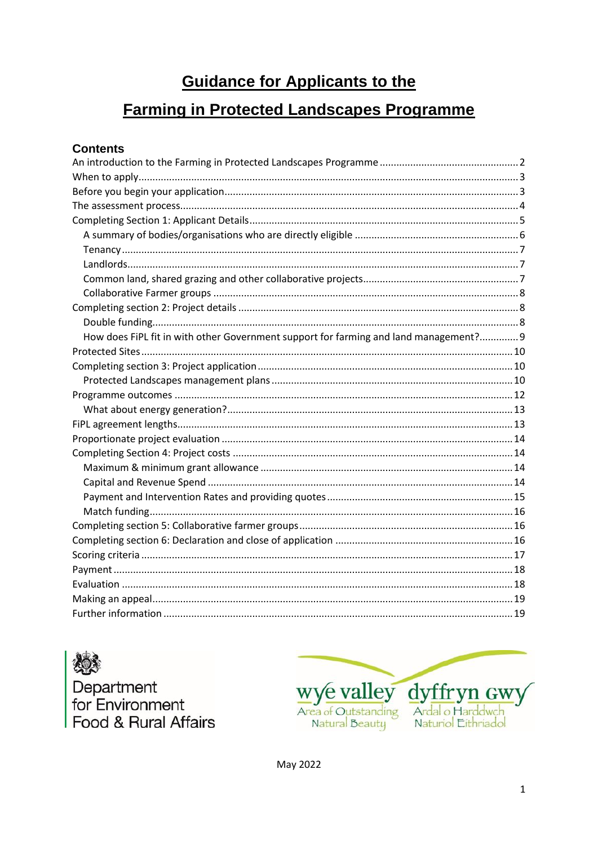# **Guidance for Applicants to the**

# **Farming in Protected Landscapes Programme**

# **Contents**

| How does FiPL fit in with other Government support for farming and land management? 9 |  |
|---------------------------------------------------------------------------------------|--|
|                                                                                       |  |
|                                                                                       |  |
|                                                                                       |  |
|                                                                                       |  |
|                                                                                       |  |
|                                                                                       |  |
|                                                                                       |  |
|                                                                                       |  |
|                                                                                       |  |
|                                                                                       |  |
|                                                                                       |  |
|                                                                                       |  |
|                                                                                       |  |
|                                                                                       |  |
|                                                                                       |  |
|                                                                                       |  |
|                                                                                       |  |
|                                                                                       |  |
|                                                                                       |  |

Department<br>for Environment Food & Rural Affairs



May 2022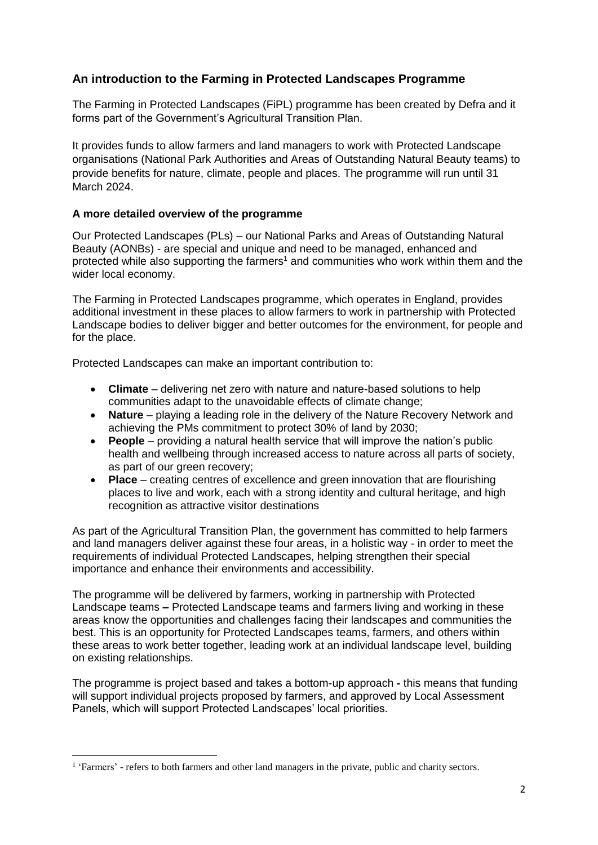# <span id="page-1-0"></span>**An introduction to the Farming in Protected Landscapes Programme**

The Farming in Protected Landscapes (FiPL) programme has been created by Defra and it forms part of the Government's Agricultural Transition Plan.

It provides funds to allow farmers and land managers to work with Protected Landscape organisations (National Park Authorities and Areas of Outstanding Natural Beauty teams) to provide benefits for nature, climate, people and places. The programme will run until 31 March 2024.

## **A more detailed overview of the programme**

Our Protected Landscapes (PLs) – our National Parks and Areas of Outstanding Natural Beauty (AONBs) - are special and unique and need to be managed, enhanced and protected while also supporting the farmers<sup>1</sup> and communities who work within them and the wider local economy.

The Farming in Protected Landscapes programme, which operates in England, provides additional investment in these places to allow farmers to work in partnership with Protected Landscape bodies to deliver bigger and better outcomes for the environment, for people and for the place.

Protected Landscapes can make an important contribution to:

- **Climate** delivering net zero with nature and nature-based solutions to help communities adapt to the unavoidable effects of climate change;
- **Nature** playing a leading role in the delivery of the Nature Recovery Network and achieving the PMs commitment to protect 30% of land by 2030;
- **People** providing a natural health service that will improve the nation's public health and wellbeing through increased access to nature across all parts of society, as part of our green recovery;
- **Place** creating centres of excellence and green innovation that are flourishing places to live and work, each with a strong identity and cultural heritage, and high recognition as attractive visitor destinations

As part of the Agricultural Transition Plan, the government has committed to help farmers and land managers deliver against these four areas, in a holistic way - in order to meet the requirements of individual Protected Landscapes, helping strengthen their special importance and enhance their environments and accessibility.

The programme will be delivered by farmers, working in partnership with Protected Landscape teams **–** Protected Landscape teams and farmers living and working in these areas know the opportunities and challenges facing their landscapes and communities the best. This is an opportunity for Protected Landscapes teams, farmers, and others within these areas to work better together, leading work at an individual landscape level, building on existing relationships.

The programme is project based and takes a bottom-up approach **-** this means that funding will support individual projects proposed by farmers, and approved by Local Assessment Panels, which will support Protected Landscapes' local priorities.

**.** 

<sup>&</sup>lt;sup>1</sup> 'Farmers' - refers to both farmers and other land managers in the private, public and charity sectors.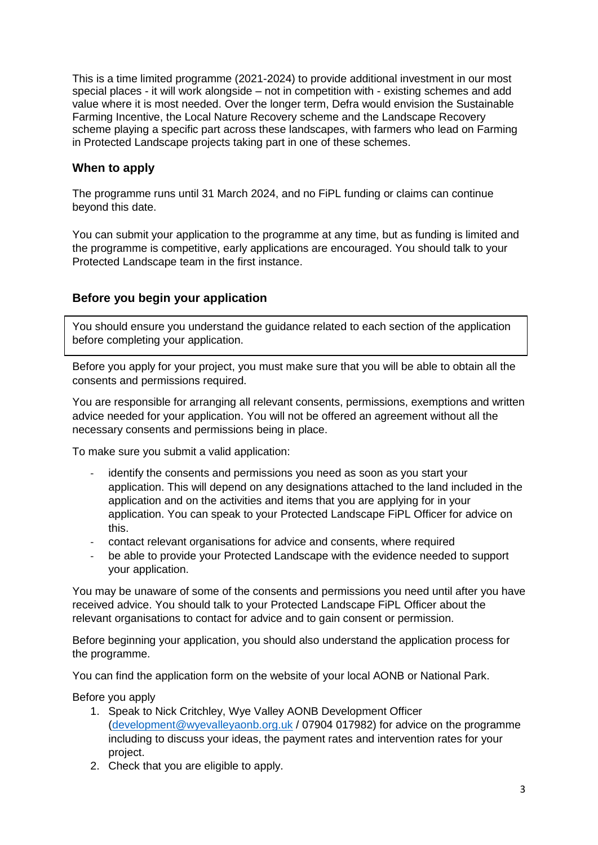This is a time limited programme (2021-2024) to provide additional investment in our most special places - it will work alongside – not in competition with - existing schemes and add value where it is most needed. Over the longer term, Defra would envision the Sustainable Farming Incentive, the Local Nature Recovery scheme and the Landscape Recovery scheme playing a specific part across these landscapes, with farmers who lead on Farming in Protected Landscape projects taking part in one of these schemes.

# <span id="page-2-0"></span>**When to apply**

The programme runs until 31 March 2024, and no FiPL funding or claims can continue beyond this date.

You can submit your application to the programme at any time, but as funding is limited and the programme is competitive, early applications are encouraged. You should talk to your Protected Landscape team in the first instance.

## <span id="page-2-1"></span>**Before you begin your application**

You should ensure you understand the guidance related to each section of the application before completing your application.

Before you apply for your project, you must make sure that you will be able to obtain all the consents and permissions required.

You are responsible for arranging all relevant consents, permissions, exemptions and written advice needed for your application. You will not be offered an agreement without all the necessary consents and permissions being in place.

To make sure you submit a valid application:

- identify the consents and permissions you need as soon as you start your application. This will depend on any designations attached to the land included in the application and on the activities and items that you are applying for in your application. You can speak to your Protected Landscape FiPL Officer for advice on this.
- contact relevant organisations for advice and consents, where required
- be able to provide your Protected Landscape with the evidence needed to support your application.

You may be unaware of some of the consents and permissions you need until after you have received advice. You should talk to your Protected Landscape FiPL Officer about the relevant organisations to contact for advice and to gain consent or permission.

Before beginning your application, you should also understand the application process for the programme.

You can find the application form on the website of your local AONB or National Park.

Before you apply

- 1. Speak to Nick Critchley, Wye Valley AONB Development Officer [\(development@wyevalleyaonb.org.uk](mailto:development@wyevalleyaonb.org.uk) / 07904 017982) for advice on the programme including to discuss your ideas, the payment rates and intervention rates for your project.
- 2. Check that you are eligible to apply.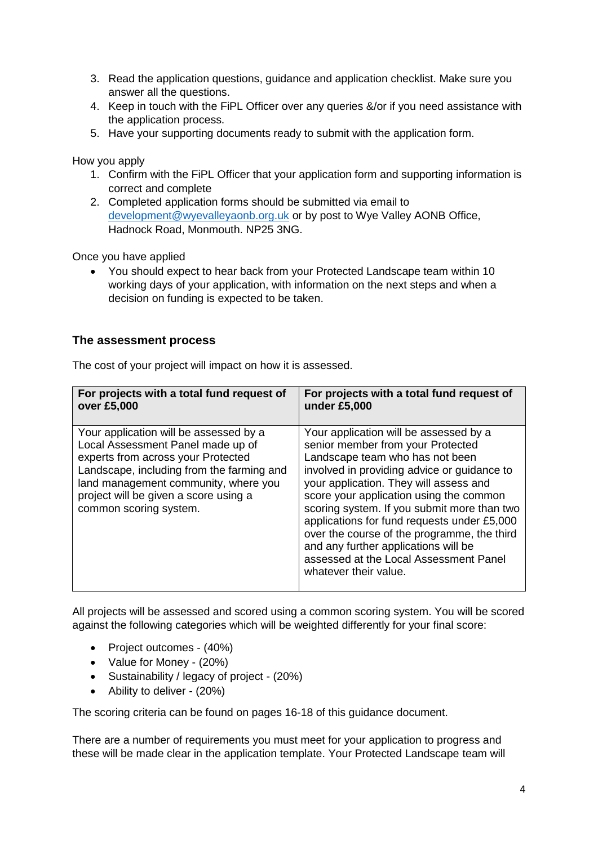- 3. Read the application questions, guidance and application checklist. Make sure you answer all the questions.
- 4. Keep in touch with the FiPL Officer over any queries &/or if you need assistance with the application process.
- 5. Have your supporting documents ready to submit with the application form.

How you apply

- 1. Confirm with the FiPL Officer that your application form and supporting information is correct and complete
- 2. Completed application forms should be submitted via email to [development@wyevalleyaonb.org.uk](mailto:development@wyevalleyaonb.org.uk) or by post to Wye Valley AONB Office, Hadnock Road, Monmouth. NP25 3NG.

Once you have applied

 You should expect to hear back from your Protected Landscape team within 10 working days of your application, with information on the next steps and when a decision on funding is expected to be taken.

## <span id="page-3-0"></span>**The assessment process**

The cost of your project will impact on how it is assessed.

| For projects with a total fund request of                                                                                                                                                                                                                                 | For projects with a total fund request of                                                                                                                                                                                                                                                                                                                                                                                                                                                                  |
|---------------------------------------------------------------------------------------------------------------------------------------------------------------------------------------------------------------------------------------------------------------------------|------------------------------------------------------------------------------------------------------------------------------------------------------------------------------------------------------------------------------------------------------------------------------------------------------------------------------------------------------------------------------------------------------------------------------------------------------------------------------------------------------------|
| over £5,000                                                                                                                                                                                                                                                               | under £5,000                                                                                                                                                                                                                                                                                                                                                                                                                                                                                               |
| Your application will be assessed by a<br>Local Assessment Panel made up of<br>experts from across your Protected<br>Landscape, including from the farming and<br>land management community, where you<br>project will be given a score using a<br>common scoring system. | Your application will be assessed by a<br>senior member from your Protected<br>Landscape team who has not been<br>involved in providing advice or guidance to<br>your application. They will assess and<br>score your application using the common<br>scoring system. If you submit more than two<br>applications for fund requests under £5,000<br>over the course of the programme, the third<br>and any further applications will be<br>assessed at the Local Assessment Panel<br>whatever their value. |

All projects will be assessed and scored using a common scoring system. You will be scored against the following categories which will be weighted differently for your final score:

- Project outcomes (40%)
- Value for Money (20%)
- Sustainability / legacy of project (20%)
- Ability to deliver (20%)

The scoring criteria can be found on pages 16-18 of this guidance document.

There are a number of requirements you must meet for your application to progress and these will be made clear in the application template. Your Protected Landscape team will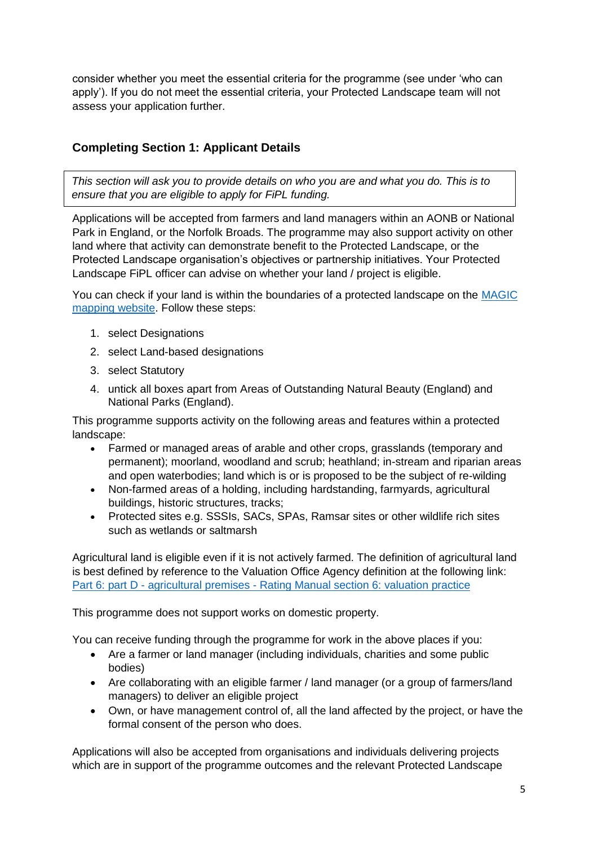<span id="page-4-0"></span>consider whether you meet the essential criteria for the programme (see under 'who can apply'). If you do not meet the essential criteria, your Protected Landscape team will not assess your application further.

# **Completing Section 1: Applicant Details**

*This section will ask you to provide details on who you are and what you do. This is to ensure that you are eligible to apply for FiPL funding.* 

Applications will be accepted from farmers and land managers within an AONB or National Park in England, or the Norfolk Broads. The programme may also support activity on other land where that activity can demonstrate benefit to the Protected Landscape, or the Protected Landscape organisation's objectives or partnership initiatives. Your Protected Landscape FiPL officer can advise on whether your land / project is eligible.

You can check if your land is within the boundaries of a protected landscape on the [MAGIC](https://magic.defra.gov.uk/MagicMap.aspx)  [mapping website.](https://magic.defra.gov.uk/MagicMap.aspx) Follow these steps:

- 1. select Designations
- 2. select Land-based designations
- 3. select Statutory
- 4. untick all boxes apart from Areas of Outstanding Natural Beauty (England) and National Parks (England).

This programme supports activity on the following areas and features within a protected landscape:

- Farmed or managed areas of arable and other crops, grasslands (temporary and permanent); moorland, woodland and scrub; heathland; in-stream and riparian areas and open waterbodies; land which is or is proposed to be the subject of re-wilding
- Non-farmed areas of a holding, including hardstanding, farmyards, agricultural buildings, historic structures, tracks;
- Protected sites e.g. SSSIs, SACs, SPAs, Ramsar sites or other wildlife rich sites such as wetlands or saltmarsh

Agricultural land is eligible even if it is not actively farmed. The definition of agricultural land is best defined by reference to the Valuation Office Agency definition at the following link: Part 6: part D - agricultural premises - [Rating Manual section 6: valuation practice](https://eur03.safelinks.protection.outlook.com/?url=https%3A%2F%2Fwww.gov.uk%2Fguidance%2Frating-manual-section-6-chhallenges-to-the-rating-list%2Fpart-6-part-d-agricultural-premises&data=04%7C01%7CFiPL%40defra.gov.uk%7C7bb39981523a4c29956f08d997a88596%7C770a245002274c6290c74e38537f1102%7C0%7C0%7C637707572318295220%7CUnknown%7CTWFpbGZsb3d8eyJWIjoiMC4wLjAwMDAiLCJQIjoiV2luMzIiLCJBTiI6Ik1haWwiLCJXVCI6Mn0%3D%7C1000&sdata=oPqMc%2F8OWhDRallQy%2F55LExNVMYeVgaDDYcEslKLswE%3D&reserved=0)

This programme does not support works on domestic property.

You can receive funding through the programme for work in the above places if you:

- Are a farmer or land manager (including individuals, charities and some public bodies)
- Are collaborating with an eligible farmer / land manager (or a group of farmers/land managers) to deliver an eligible project
- Own, or have management control of, all the land affected by the project, or have the formal consent of the person who does.

Applications will also be accepted from organisations and individuals delivering projects which are in support of the programme outcomes and the relevant Protected Landscape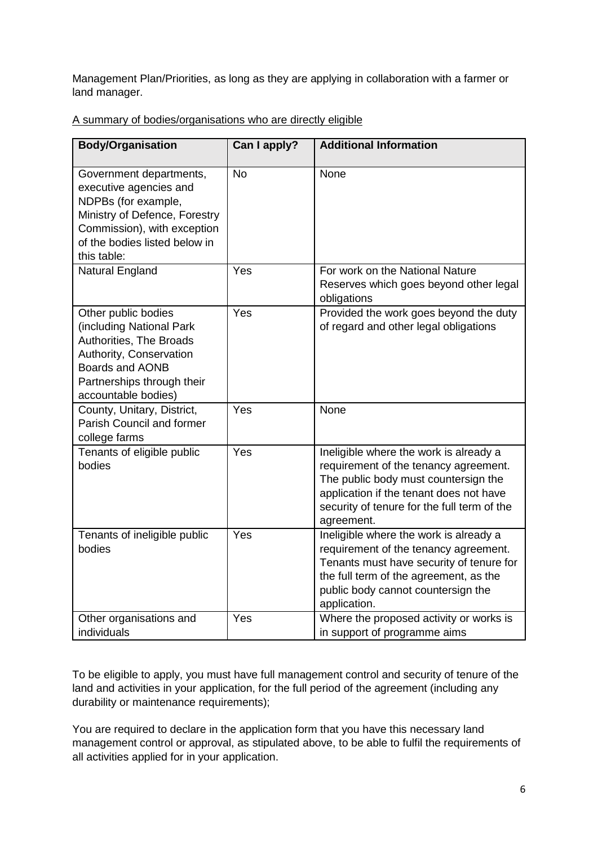Management Plan/Priorities, as long as they are applying in collaboration with a farmer or land manager.

| <b>Body/Organisation</b>                                                                                                                                                                 | Can I apply? | <b>Additional Information</b>                                                                                                                                                                                                   |
|------------------------------------------------------------------------------------------------------------------------------------------------------------------------------------------|--------------|---------------------------------------------------------------------------------------------------------------------------------------------------------------------------------------------------------------------------------|
| Government departments,<br>executive agencies and<br>NDPBs (for example,<br>Ministry of Defence, Forestry<br>Commission), with exception<br>of the bodies listed below in<br>this table: | <b>No</b>    | None                                                                                                                                                                                                                            |
| <b>Natural England</b>                                                                                                                                                                   | Yes          | For work on the National Nature<br>Reserves which goes beyond other legal<br>obligations                                                                                                                                        |
| Other public bodies<br>(including National Park<br>Authorities, The Broads<br>Authority, Conservation<br><b>Boards and AONB</b><br>Partnerships through their<br>accountable bodies)     | Yes          | Provided the work goes beyond the duty<br>of regard and other legal obligations                                                                                                                                                 |
| County, Unitary, District,<br>Parish Council and former<br>college farms                                                                                                                 | Yes          | None                                                                                                                                                                                                                            |
| Tenants of eligible public<br>bodies                                                                                                                                                     | Yes          | Ineligible where the work is already a<br>requirement of the tenancy agreement.<br>The public body must countersign the<br>application if the tenant does not have<br>security of tenure for the full term of the<br>agreement. |
| Tenants of ineligible public<br>bodies                                                                                                                                                   | Yes          | Ineligible where the work is already a<br>requirement of the tenancy agreement.<br>Tenants must have security of tenure for<br>the full term of the agreement, as the<br>public body cannot countersign the<br>application.     |
| Other organisations and<br>individuals                                                                                                                                                   | Yes          | Where the proposed activity or works is<br>in support of programme aims                                                                                                                                                         |

<span id="page-5-0"></span>A summary of bodies/organisations who are directly eligible

To be eligible to apply, you must have full management control and security of tenure of the land and activities in your application, for the full period of the agreement (including any durability or maintenance requirements);

You are required to declare in the application form that you have this necessary land management control or approval, as stipulated above, to be able to fulfil the requirements of all activities applied for in your application.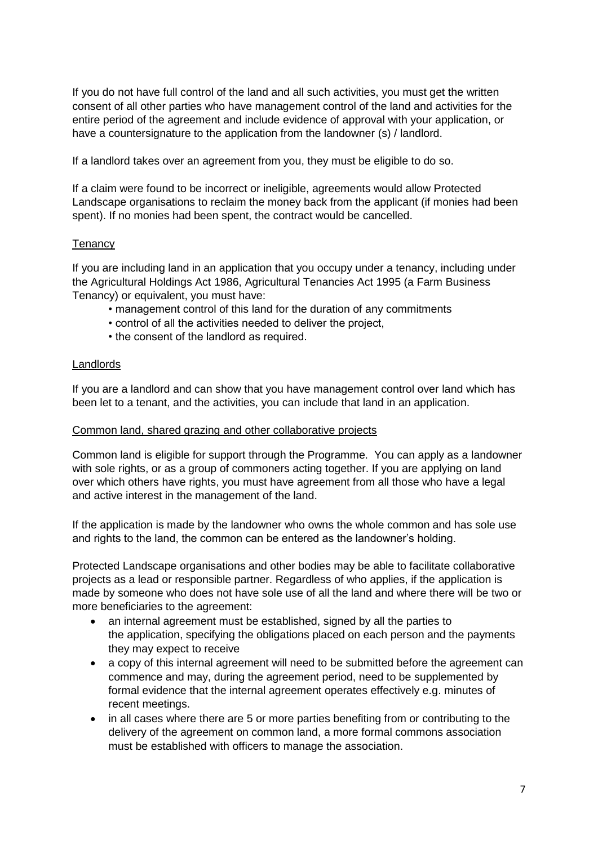If you do not have full control of the land and all such activities, you must get the written consent of all other parties who have management control of the land and activities for the entire period of the agreement and include evidence of approval with your application, or have a countersignature to the application from the landowner (s) / landlord.

If a landlord takes over an agreement from you, they must be eligible to do so.

If a claim were found to be incorrect or ineligible, agreements would allow Protected Landscape organisations to reclaim the money back from the applicant (if monies had been spent). If no monies had been spent, the contract would be cancelled.

## <span id="page-6-0"></span>**Tenancy**

If you are including land in an application that you occupy under a tenancy, including under the Agricultural Holdings Act 1986, Agricultural Tenancies Act 1995 (a Farm Business Tenancy) or equivalent, you must have:

- management control of this land for the duration of any commitments
- control of all the activities needed to deliver the project,
- the consent of the landlord as required.

#### <span id="page-6-1"></span>Landlords

If you are a landlord and can show that you have management control over land which has been let to a tenant, and the activities, you can include that land in an application.

#### <span id="page-6-2"></span>Common land, shared grazing and other collaborative projects

Common land is eligible for support through the Programme. You can apply as a landowner with sole rights, or as a group of commoners acting together. If you are applying on land over which others have rights, you must have agreement from all those who have a legal and active interest in the management of the land.

If the application is made by the landowner who owns the whole common and has sole use and rights to the land, the common can be entered as the landowner's holding.

Protected Landscape organisations and other bodies may be able to facilitate collaborative projects as a lead or responsible partner. Regardless of who applies, if the application is made by someone who does not have sole use of all the land and where there will be two or more beneficiaries to the agreement:

- an internal agreement must be established, signed by all the parties to the application, specifying the obligations placed on each person and the payments they may expect to receive
- a copy of this internal agreement will need to be submitted before the agreement can commence and may, during the agreement period, need to be supplemented by formal evidence that the internal agreement operates effectively e.g. minutes of recent meetings.
- in all cases where there are 5 or more parties benefiting from or contributing to the delivery of the agreement on common land, a more formal commons association must be established with officers to manage the association.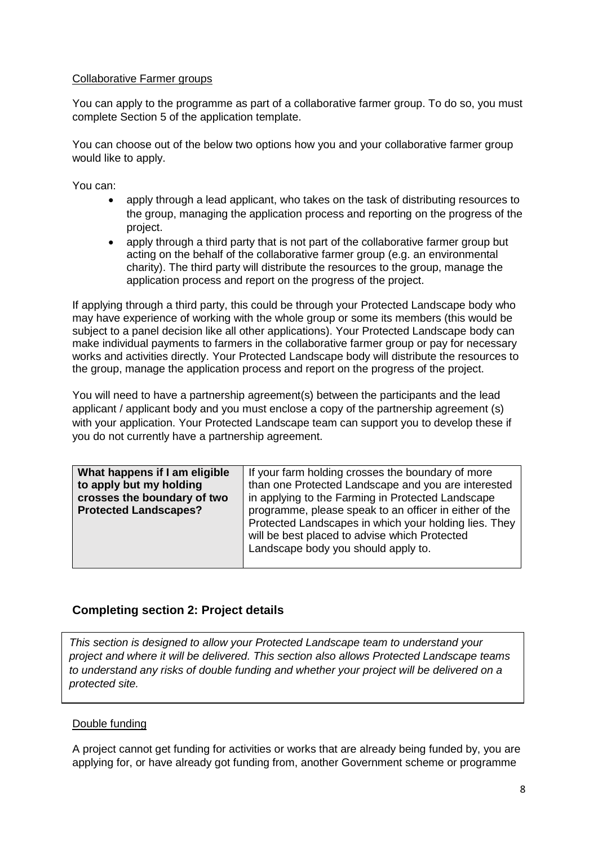#### <span id="page-7-0"></span>Collaborative Farmer groups

You can apply to the programme as part of a collaborative farmer group. To do so, you must complete Section 5 of the application template.

You can choose out of the below two options how you and your collaborative farmer group would like to apply.

You can:

- apply through a lead applicant, who takes on the task of distributing resources to the group, managing the application process and reporting on the progress of the project.
- apply through a third party that is not part of the collaborative farmer group but acting on the behalf of the collaborative farmer group (e.g. an environmental charity). The third party will distribute the resources to the group, manage the application process and report on the progress of the project.

If applying through a third party, this could be through your Protected Landscape body who may have experience of working with the whole group or some its members (this would be subject to a panel decision like all other applications). Your Protected Landscape body can make individual payments to farmers in the collaborative farmer group or pay for necessary works and activities directly. Your Protected Landscape body will distribute the resources to the group, manage the application process and report on the progress of the project.

You will need to have a partnership agreement(s) between the participants and the lead applicant / applicant body and you must enclose a copy of the partnership agreement (s) with your application. Your Protected Landscape team can support you to develop these if you do not currently have a partnership agreement.

| What happens if I am eligible | If your farm holding crosses the boundary of more      |
|-------------------------------|--------------------------------------------------------|
| to apply but my holding       | than one Protected Landscape and you are interested    |
| crosses the boundary of two   | in applying to the Farming in Protected Landscape      |
| <b>Protected Landscapes?</b>  | programme, please speak to an officer in either of the |
|                               | Protected Landscapes in which your holding lies. They  |
|                               | will be best placed to advise which Protected          |
|                               | Landscape body you should apply to.                    |
|                               |                                                        |

## <span id="page-7-1"></span>**Completing section 2: Project details**

*This section is designed to allow your Protected Landscape team to understand your project and where it will be delivered. This section also allows Protected Landscape teams to understand any risks of double funding and whether your project will be delivered on a protected site.* 

#### <span id="page-7-2"></span>Double funding

A project cannot get funding for activities or works that are already being funded by, you are applying for, or have already got funding from, another Government scheme or programme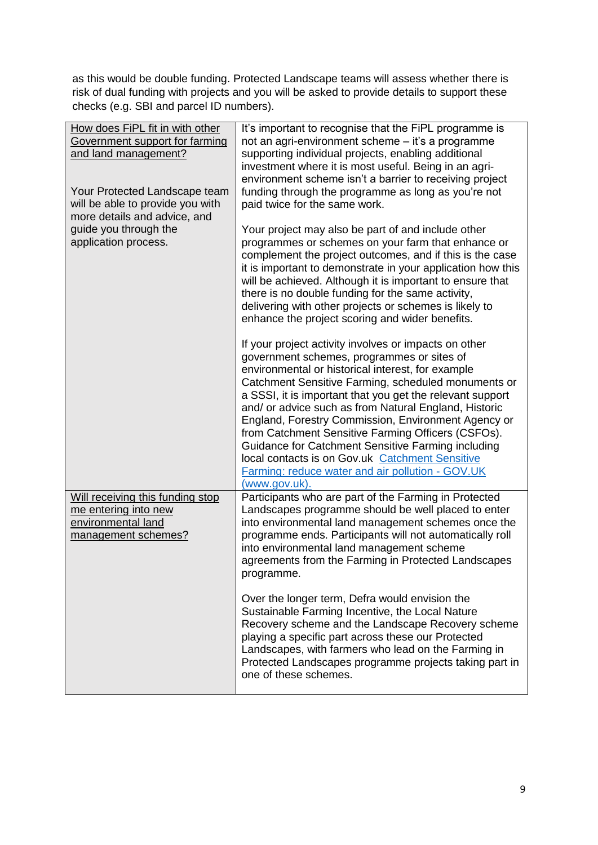as this would be double funding. Protected Landscape teams will assess whether there is risk of dual funding with projects and you will be asked to provide details to support these checks (e.g. SBI and parcel ID numbers).

<span id="page-8-0"></span>

| How does FiPL fit in with other                                  | It's important to recognise that the FiPL programme is                                                           |
|------------------------------------------------------------------|------------------------------------------------------------------------------------------------------------------|
| Government support for farming                                   | not an agri-environment scheme - it's a programme                                                                |
| and land management?                                             | supporting individual projects, enabling additional                                                              |
|                                                                  | investment where it is most useful. Being in an agri-                                                            |
|                                                                  | environment scheme isn't a barrier to receiving project                                                          |
| Your Protected Landscape team                                    | funding through the programme as long as you're not                                                              |
| will be able to provide you with<br>more details and advice, and | paid twice for the same work.                                                                                    |
| guide you through the                                            | Your project may also be part of and include other                                                               |
| application process.                                             | programmes or schemes on your farm that enhance or                                                               |
|                                                                  | complement the project outcomes, and if this is the case                                                         |
|                                                                  | it is important to demonstrate in your application how this                                                      |
|                                                                  | will be achieved. Although it is important to ensure that                                                        |
|                                                                  | there is no double funding for the same activity,                                                                |
|                                                                  | delivering with other projects or schemes is likely to                                                           |
|                                                                  | enhance the project scoring and wider benefits.                                                                  |
|                                                                  | If your project activity involves or impacts on other                                                            |
|                                                                  | government schemes, programmes or sites of                                                                       |
|                                                                  | environmental or historical interest, for example                                                                |
|                                                                  | Catchment Sensitive Farming, scheduled monuments or<br>a SSSI, it is important that you get the relevant support |
|                                                                  | and/ or advice such as from Natural England, Historic                                                            |
|                                                                  | England, Forestry Commission, Environment Agency or                                                              |
|                                                                  | from Catchment Sensitive Farming Officers (CSFOs).                                                               |
|                                                                  | Guidance for Catchment Sensitive Farming including                                                               |
|                                                                  | local contacts is on Gov.uk Catchment Sensitive                                                                  |
|                                                                  | Farming: reduce water and air pollution - GOV.UK<br>(www.gov.uk).                                                |
| Will receiving this funding stop                                 | Participants who are part of the Farming in Protected                                                            |
| me entering into new                                             | Landscapes programme should be well placed to enter                                                              |
| environmental land                                               | into environmental land management schemes once the                                                              |
| management schemes?                                              | programme ends. Participants will not automatically roll                                                         |
|                                                                  | into environmental land management scheme                                                                        |
|                                                                  | agreements from the Farming in Protected Landscapes                                                              |
|                                                                  | programme.                                                                                                       |
|                                                                  | Over the longer term, Defra would envision the                                                                   |
|                                                                  | Sustainable Farming Incentive, the Local Nature                                                                  |
|                                                                  | Recovery scheme and the Landscape Recovery scheme<br>playing a specific part across these our Protected          |
|                                                                  | Landscapes, with farmers who lead on the Farming in                                                              |
|                                                                  | Protected Landscapes programme projects taking part in                                                           |
|                                                                  | one of these schemes.                                                                                            |
|                                                                  |                                                                                                                  |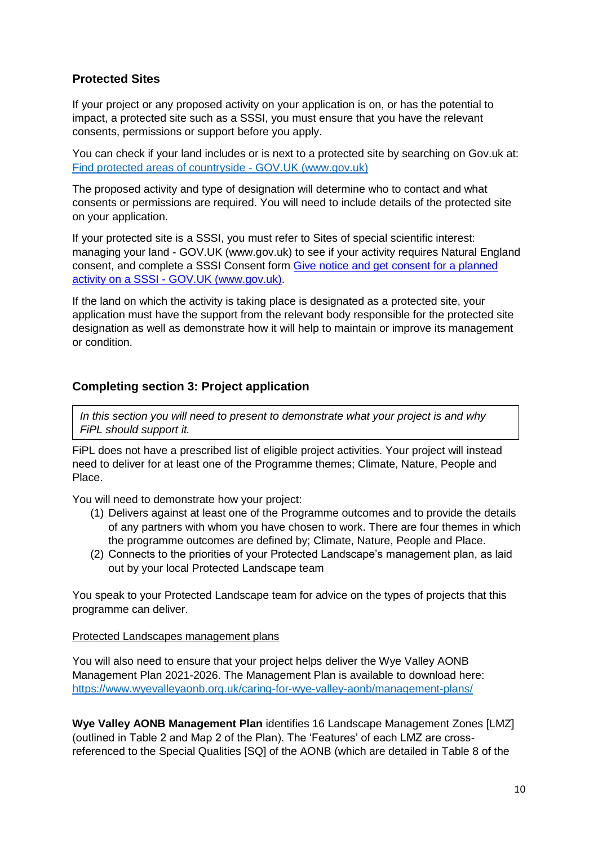# <span id="page-9-0"></span>**Protected Sites**

If your project or any proposed activity on your application is on, or has the potential to impact, a protected site such as a SSSI, you must ensure that you have the relevant consents, permissions or support before you apply.

You can check if your land includes or is next to a protected site by searching on Gov.uk at: [Find protected areas of countryside -](https://www.gov.uk/check-your-business-protected-area) GOV.UK (www.gov.uk)

The proposed activity and type of designation will determine who to contact and what consents or permissions are required. You will need to include details of the protected site on your application.

If your protected site is a SSSI, you must refer to [Sites of special scientific interest:](https://www.gov.uk/guidance/protected-areas-sites-of-special-scientific-interest)  managing your land - [GOV.UK \(www.gov.uk\)](https://www.gov.uk/guidance/protected-areas-sites-of-special-scientific-interest) to see if your activity requires Natural England consent, and complete a SSSI Consent form [Give notice and get consent for a planned](https://www.gov.uk/government/publications/request-permission-for-works-or-an-activity-on-an-sssi)  activity on a SSSI - [GOV.UK \(www.gov.uk\).](https://www.gov.uk/government/publications/request-permission-for-works-or-an-activity-on-an-sssi)

If the land on which the activity is taking place is designated as a protected site, your application must have the support from the relevant body responsible for the protected site designation as well as demonstrate how it will help to maintain or improve its management or condition.

# <span id="page-9-1"></span>**Completing section 3: Project application**

*In this section you will need to present to demonstrate what your project is and why FiPL should support it.* 

FiPL does not have a prescribed list of eligible project activities. Your project will instead need to deliver for at least one of the Programme themes; Climate, Nature, People and Place.

You will need to demonstrate how your project:

- (1) Delivers against at least one of the Programme outcomes and to provide the details of any partners with whom you have chosen to work. There are four themes in which the programme outcomes are defined by; Climate, Nature, People and Place.
- (2) Connects to the priorities of your Protected Landscape's management plan, as laid out by your local Protected Landscape team

You speak to your Protected Landscape team for advice on the types of projects that this programme can deliver.

#### <span id="page-9-2"></span>Protected Landscapes management plans

You will also need to ensure that your project helps deliver the Wye Valley AONB Management Plan 2021-2026. The Management Plan is available to download here: <https://www.wyevalleyaonb.org.uk/caring-for-wye-valley-aonb/management-plans/>

**Wye Valley AONB Management Plan** identifies 16 Landscape Management Zones [LMZ] (outlined in Table 2 and Map 2 of the Plan). The 'Features' of each LMZ are crossreferenced to the Special Qualities [SQ] of the AONB (which are detailed in Table 8 of the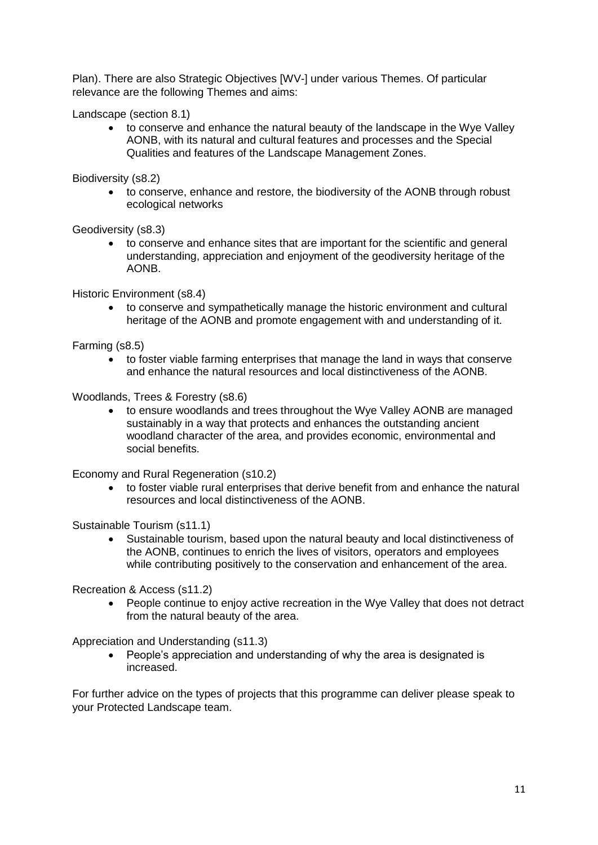Plan). There are also Strategic Objectives [WV-] under various Themes. Of particular relevance are the following Themes and aims:

Landscape (section 8.1)

 to conserve and enhance the natural beauty of the landscape in the Wye Valley AONB, with its natural and cultural features and processes and the Special Qualities and features of the Landscape Management Zones.

Biodiversity (s8.2)

 to conserve, enhance and restore, the biodiversity of the AONB through robust ecological networks

Geodiversity (s8.3)

 to conserve and enhance sites that are important for the scientific and general understanding, appreciation and enjoyment of the geodiversity heritage of the AONB.

Historic Environment (s8.4)

 to conserve and sympathetically manage the historic environment and cultural heritage of the AONB and promote engagement with and understanding of it.

Farming (s8.5)

 to foster viable farming enterprises that manage the land in ways that conserve and enhance the natural resources and local distinctiveness of the AONB.

Woodlands, Trees & Forestry (s8.6)

 to ensure woodlands and trees throughout the Wye Valley AONB are managed sustainably in a way that protects and enhances the outstanding ancient woodland character of the area, and provides economic, environmental and social benefits.

Economy and Rural Regeneration (s10.2)

 to foster viable rural enterprises that derive benefit from and enhance the natural resources and local distinctiveness of the AONB.

Sustainable Tourism (s11.1)

 Sustainable tourism, based upon the natural beauty and local distinctiveness of the AONB, continues to enrich the lives of visitors, operators and employees while contributing positively to the conservation and enhancement of the area.

Recreation & Access (s11.2)

 People continue to enjoy active recreation in the Wye Valley that does not detract from the natural beauty of the area.

Appreciation and Understanding (s11.3)

 People's appreciation and understanding of why the area is designated is increased.

For further advice on the types of projects that this programme can deliver please speak to your Protected Landscape team.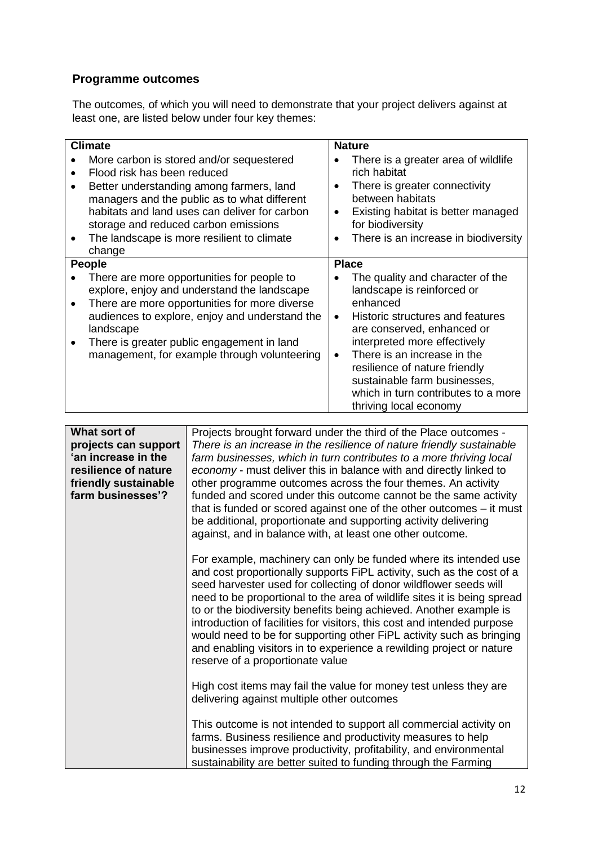# <span id="page-11-0"></span>**Programme outcomes**

The outcomes, of which you will need to demonstrate that your project delivers against at least one, are listed below under four key themes:

| <b>Climate</b>                                                                                                                                                                                                                                                                                                       |                        | <b>Nature</b>                                                                                                                                                                                                                                                                                                                                 |
|----------------------------------------------------------------------------------------------------------------------------------------------------------------------------------------------------------------------------------------------------------------------------------------------------------------------|------------------------|-----------------------------------------------------------------------------------------------------------------------------------------------------------------------------------------------------------------------------------------------------------------------------------------------------------------------------------------------|
| More carbon is stored and/or sequestered<br>Flood risk has been reduced<br>Better understanding among farmers, land<br>managers and the public as to what different<br>habitats and land uses can deliver for carbon<br>storage and reduced carbon emissions<br>The landscape is more resilient to climate<br>change | $\bullet$              | There is a greater area of wildlife<br>rich habitat<br>There is greater connectivity<br>between habitats<br>Existing habitat is better managed<br>for biodiversity<br>There is an increase in biodiversity                                                                                                                                    |
| <b>People</b>                                                                                                                                                                                                                                                                                                        |                        | <b>Place</b>                                                                                                                                                                                                                                                                                                                                  |
| There are more opportunities for people to<br>explore, enjoy and understand the landscape<br>There are more opportunities for more diverse<br>audiences to explore, enjoy and understand the<br>landscape<br>There is greater public engagement in land<br>management, for example through volunteering              | $\bullet$<br>$\bullet$ | The quality and character of the<br>landscape is reinforced or<br>enhanced<br>Historic structures and features<br>are conserved, enhanced or<br>interpreted more effectively<br>There is an increase in the<br>resilience of nature friendly<br>sustainable farm businesses,<br>which in turn contributes to a more<br>thriving local economy |

| What sort of         | Projects brought forward under the third of the Place outcomes -                                                                     |
|----------------------|--------------------------------------------------------------------------------------------------------------------------------------|
| projects can support | There is an increase in the resilience of nature friendly sustainable                                                                |
| 'an increase in the  | farm businesses, which in turn contributes to a more thriving local                                                                  |
| resilience of nature | economy - must deliver this in balance with and directly linked to                                                                   |
| friendly sustainable | other programme outcomes across the four themes. An activity                                                                         |
| farm businesses'?    | funded and scored under this outcome cannot be the same activity                                                                     |
|                      | that is funded or scored against one of the other outcomes – it must                                                                 |
|                      |                                                                                                                                      |
|                      | be additional, proportionate and supporting activity delivering                                                                      |
|                      | against, and in balance with, at least one other outcome.                                                                            |
|                      |                                                                                                                                      |
|                      | For example, machinery can only be funded where its intended use                                                                     |
|                      | and cost proportionally supports FiPL activity, such as the cost of a                                                                |
|                      | seed harvester used for collecting of donor wildflower seeds will                                                                    |
|                      | need to be proportional to the area of wildlife sites it is being spread                                                             |
|                      | to or the biodiversity benefits being achieved. Another example is                                                                   |
|                      | introduction of facilities for visitors, this cost and intended purpose                                                              |
|                      | would need to be for supporting other FiPL activity such as bringing                                                                 |
|                      | and enabling visitors in to experience a rewilding project or nature                                                                 |
|                      | reserve of a proportionate value                                                                                                     |
|                      |                                                                                                                                      |
|                      | High cost items may fail the value for money test unless they are                                                                    |
|                      | delivering against multiple other outcomes                                                                                           |
|                      |                                                                                                                                      |
|                      | This outcome is not intended to support all commercial activity on                                                                   |
|                      | farms. Business resilience and productivity measures to help                                                                         |
|                      |                                                                                                                                      |
|                      |                                                                                                                                      |
|                      | businesses improve productivity, profitability, and environmental<br>sustainability are better suited to funding through the Farming |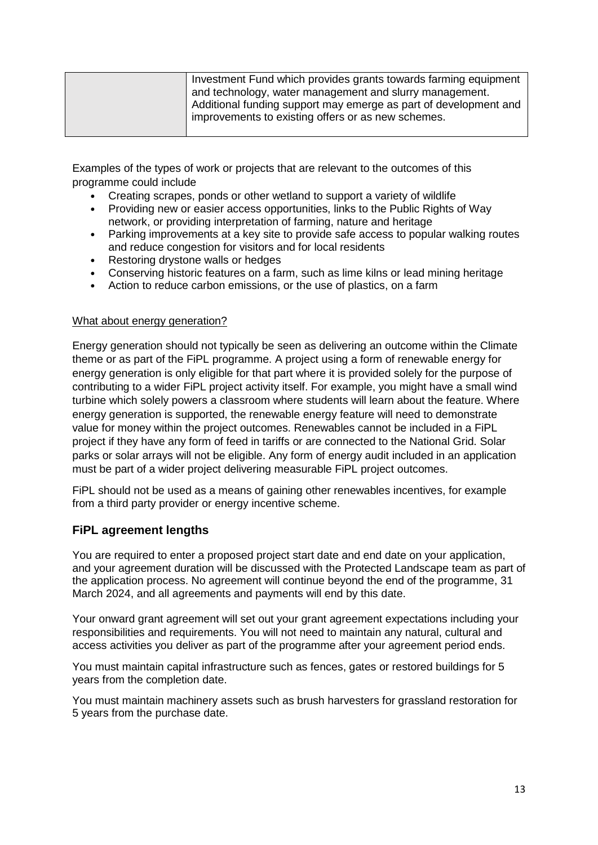| Investment Fund which provides grants towards farming equipment  |
|------------------------------------------------------------------|
| and technology, water management and slurry management.          |
| Additional funding support may emerge as part of development and |
| improvements to existing offers or as new schemes.               |
|                                                                  |

Examples of the types of work or projects that are relevant to the outcomes of this programme could include

- Creating scrapes, ponds or other wetland to support a variety of wildlife
- Providing new or easier access opportunities, links to the Public Rights of Way network, or providing interpretation of farming, nature and heritage
- Parking improvements at a key site to provide safe access to popular walking routes and reduce congestion for visitors and for local residents
- Restoring drystone walls or hedges
- Conserving historic features on a farm, such as lime kilns or lead mining heritage
- Action to reduce carbon emissions, or the use of plastics, on a farm

#### <span id="page-12-0"></span>What about energy generation?

Energy generation should not typically be seen as delivering an outcome within the Climate theme or as part of the FiPL programme. A project using a form of renewable energy for energy generation is only eligible for that part where it is provided solely for the purpose of contributing to a wider FiPL project activity itself. For example, you might have a small wind turbine which solely powers a classroom where students will learn about the feature. Where energy generation is supported, the renewable energy feature will need to demonstrate value for money within the project outcomes. Renewables cannot be included in a FiPL project if they have any form of feed in tariffs or are connected to the National Grid. Solar parks or solar arrays will not be eligible. Any form of energy audit included in an application must be part of a wider project delivering measurable FiPL project outcomes.

FiPL should not be used as a means of gaining other renewables incentives, for example from a third party provider or energy incentive scheme.

#### <span id="page-12-1"></span>**FiPL agreement lengths**

You are required to enter a proposed project start date and end date on your application, and your agreement duration will be discussed with the Protected Landscape team as part of the application process. No agreement will continue beyond the end of the programme, 31 March 2024, and all agreements and payments will end by this date.

Your onward grant agreement will set out your grant agreement expectations including your responsibilities and requirements. You will not need to maintain any natural, cultural and access activities you deliver as part of the programme after your agreement period ends.

You must maintain capital infrastructure such as fences, gates or restored buildings for 5 years from the completion date.

You must maintain machinery assets such as brush harvesters for grassland restoration for 5 years from the purchase date.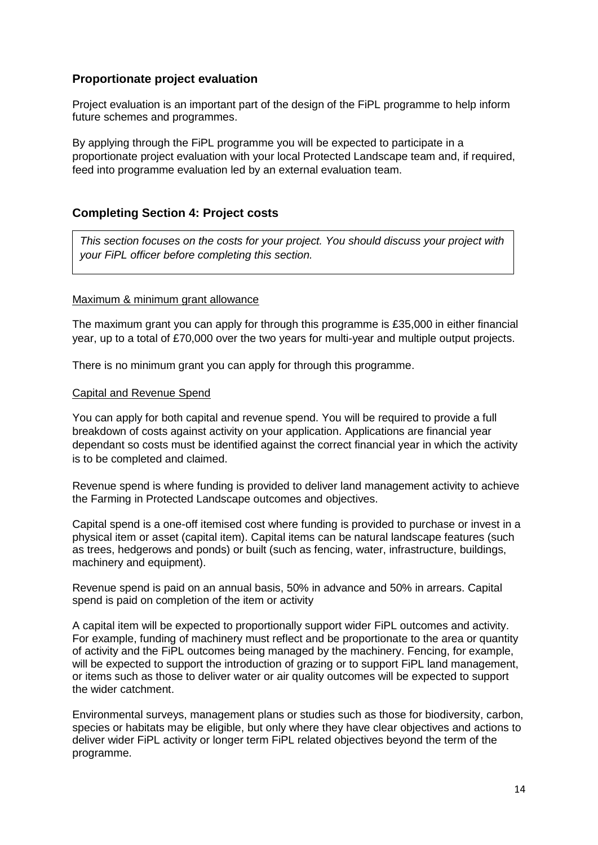## <span id="page-13-0"></span>**Proportionate project evaluation**

Project evaluation is an important part of the design of the FiPL programme to help inform future schemes and programmes.

By applying through the FiPL programme you will be expected to participate in a proportionate project evaluation with your local Protected Landscape team and, if required, feed into programme evaluation led by an external evaluation team.

## <span id="page-13-1"></span>**Completing Section 4: Project costs**

*This section focuses on the costs for your project. You should discuss your project with your FiPL officer before completing this section.*

## <span id="page-13-2"></span>Maximum & minimum grant allowance

The maximum grant you can apply for through this programme is £35,000 in either financial year, up to a total of £70,000 over the two years for multi-year and multiple output projects.

There is no minimum grant you can apply for through this programme.

#### <span id="page-13-3"></span>Capital and Revenue Spend

You can apply for both capital and revenue spend. You will be required to provide a full breakdown of costs against activity on your application. Applications are financial year dependant so costs must be identified against the correct financial year in which the activity is to be completed and claimed.

Revenue spend is where funding is provided to deliver land management activity to achieve the Farming in Protected Landscape outcomes and objectives.

Capital spend is a one-off itemised cost where funding is provided to purchase or invest in a physical item or asset (capital item). Capital items can be natural landscape features (such as trees, hedgerows and ponds) or built (such as fencing, water, infrastructure, buildings, machinery and equipment).

Revenue spend is paid on an annual basis, 50% in advance and 50% in arrears. Capital spend is paid on completion of the item or activity

A capital item will be expected to proportionally support wider FiPL outcomes and activity. For example, funding of machinery must reflect and be proportionate to the area or quantity of activity and the FiPL outcomes being managed by the machinery. Fencing, for example, will be expected to support the introduction of grazing or to support FiPL land management, or items such as those to deliver water or air quality outcomes will be expected to support the wider catchment.

Environmental surveys, management plans or studies such as those for biodiversity, carbon, species or habitats may be eligible, but only where they have clear objectives and actions to deliver wider FiPL activity or longer term FiPL related objectives beyond the term of the programme.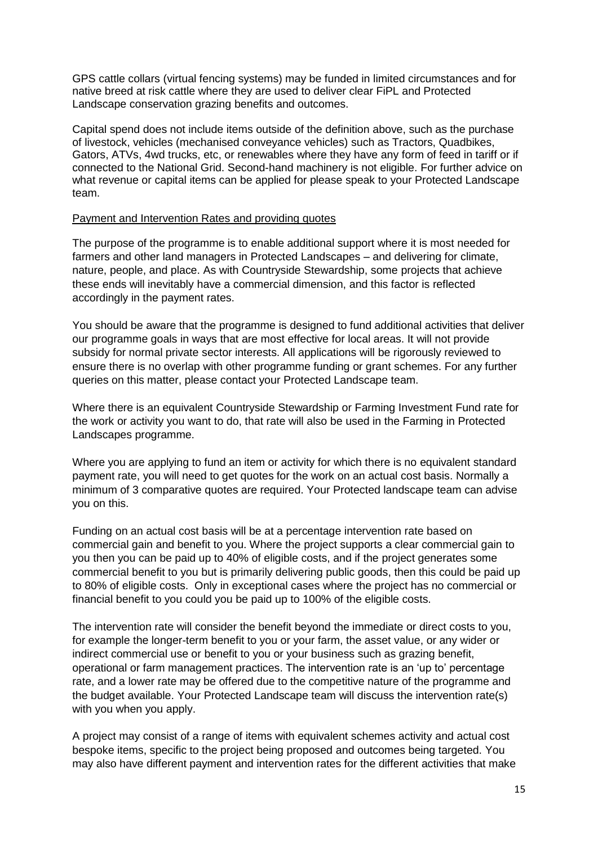GPS cattle collars (virtual fencing systems) may be funded in limited circumstances and for native breed at risk cattle where they are used to deliver clear FiPL and Protected Landscape conservation grazing benefits and outcomes.

Capital spend does not include items outside of the definition above, such as the purchase of livestock, vehicles (mechanised conveyance vehicles) such as Tractors, Quadbikes, Gators, ATVs, 4wd trucks, etc, or renewables where they have any form of feed in tariff or if connected to the National Grid. Second-hand machinery is not eligible. For further advice on what revenue or capital items can be applied for please speak to your Protected Landscape team.

#### <span id="page-14-0"></span>Payment and Intervention Rates and providing quotes

The purpose of the programme is to enable additional support where it is most needed for farmers and other land managers in Protected Landscapes – and delivering for climate, nature, people, and place. As with Countryside Stewardship, some projects that achieve these ends will inevitably have a commercial dimension, and this factor is reflected accordingly in the payment rates.

You should be aware that the programme is designed to fund additional activities that deliver our programme goals in ways that are most effective for local areas. It will not provide subsidy for normal private sector interests. All applications will be rigorously reviewed to ensure there is no overlap with other programme funding or grant schemes. For any further queries on this matter, please contact your Protected Landscape team.

Where there is an equivalent Countryside Stewardship or Farming Investment Fund rate for the work or activity you want to do, that rate will also be used in the Farming in Protected Landscapes programme.

Where you are applying to fund an item or activity for which there is no equivalent standard payment rate, you will need to get quotes for the work on an actual cost basis. Normally a minimum of 3 comparative quotes are required. Your Protected landscape team can advise you on this.

Funding on an actual cost basis will be at a percentage intervention rate based on commercial gain and benefit to you. Where the project supports a clear commercial gain to you then you can be paid up to 40% of eligible costs, and if the project generates some commercial benefit to you but is primarily delivering public goods, then this could be paid up to 80% of eligible costs. Only in exceptional cases where the project has no commercial or financial benefit to you could you be paid up to 100% of the eligible costs.

The intervention rate will consider the benefit beyond the immediate or direct costs to you, for example the longer-term benefit to you or your farm, the asset value, or any wider or indirect commercial use or benefit to you or your business such as grazing benefit, operational or farm management practices. The intervention rate is an 'up to' percentage rate, and a lower rate may be offered due to the competitive nature of the programme and the budget available. Your Protected Landscape team will discuss the intervention rate(s) with you when you apply.

A project may consist of a range of items with equivalent schemes activity and actual cost bespoke items, specific to the project being proposed and outcomes being targeted. You may also have different payment and intervention rates for the different activities that make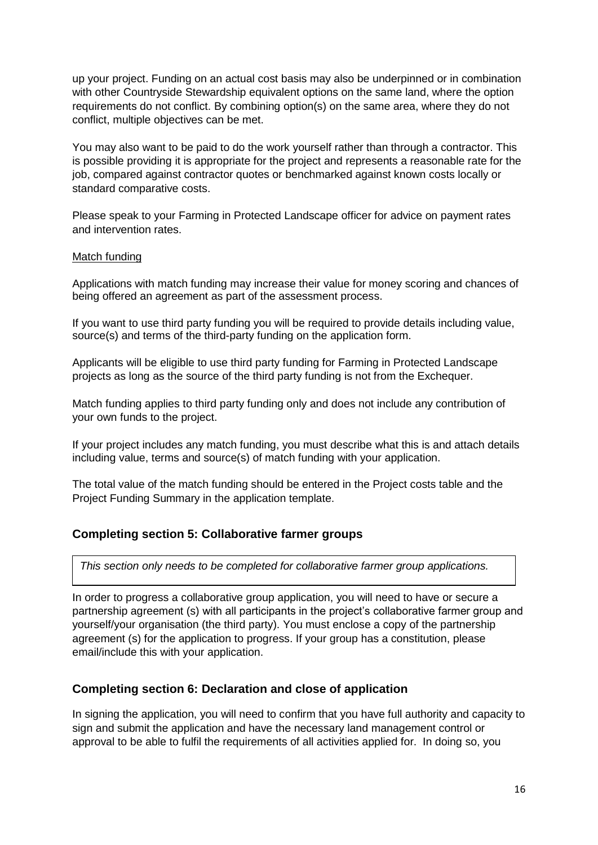up your project. Funding on an actual cost basis may also be underpinned or in combination with other Countryside Stewardship equivalent options on the same land, where the option requirements do not conflict. By combining option(s) on the same area, where they do not conflict, multiple objectives can be met.

You may also want to be paid to do the work yourself rather than through a contractor. This is possible providing it is appropriate for the project and represents a reasonable rate for the job, compared against contractor quotes or benchmarked against known costs locally or standard comparative costs.

Please speak to your Farming in Protected Landscape officer for advice on payment rates and intervention rates.

#### <span id="page-15-0"></span>Match funding

Applications with match funding may increase their value for money scoring and chances of being offered an agreement as part of the assessment process.

If you want to use third party funding you will be required to provide details including value, source(s) and terms of the third-party funding on the application form.

Applicants will be eligible to use third party funding for Farming in Protected Landscape projects as long as the source of the third party funding is not from the Exchequer.

Match funding applies to third party funding only and does not include any contribution of your own funds to the project.

If your project includes any match funding, you must describe what this is and attach details including value, terms and source(s) of match funding with your application.

The total value of the match funding should be entered in the Project costs table and the Project Funding Summary in the application template.

#### <span id="page-15-1"></span>**Completing section 5: Collaborative farmer groups**

*This section only needs to be completed for collaborative farmer group applications.* 

In order to progress a collaborative group application, you will need to have or secure a partnership agreement (s) with all participants in the project's collaborative farmer group and yourself/your organisation (the third party). You must enclose a copy of the partnership agreement (s) for the application to progress. If your group has a constitution, please email/include this with your application.

#### <span id="page-15-2"></span>**Completing section 6: Declaration and close of application**

In signing the application, you will need to confirm that you have full authority and capacity to sign and submit the application and have the necessary land management control or approval to be able to fulfil the requirements of all activities applied for. In doing so, you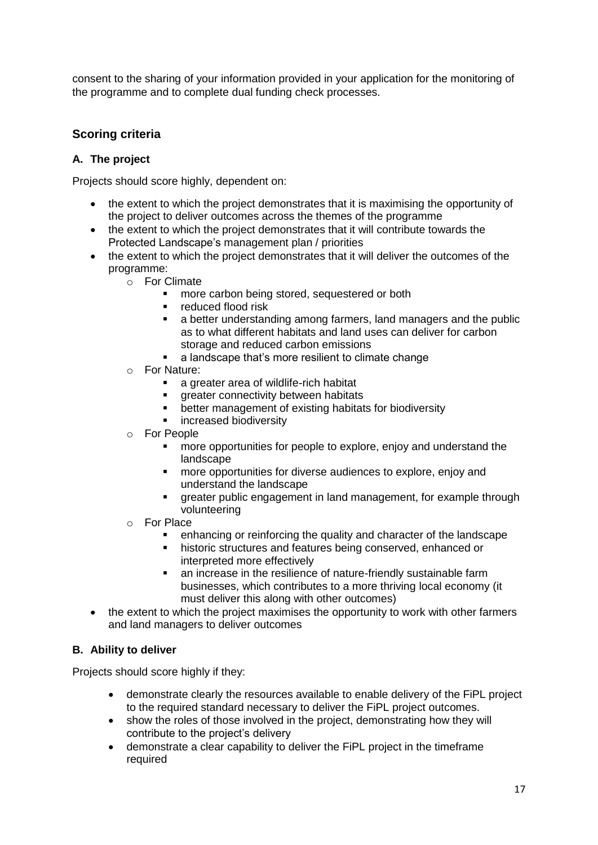consent to the sharing of your information provided in your application for the monitoring of the programme and to complete dual funding check processes.

# <span id="page-16-0"></span>**Scoring criteria**

## **A. The project**

Projects should score highly, dependent on:

- the extent to which the project demonstrates that it is maximising the opportunity of the project to deliver outcomes across the themes of the programme
- the extent to which the project demonstrates that it will contribute towards the Protected Landscape's management plan / priorities
- the extent to which the project demonstrates that it will deliver the outcomes of the programme:
	- o For Climate
		- more carbon being stored, sequestered or both
		- **•** reduced flood risk
		- a better understanding among farmers, land managers and the public as to what different habitats and land uses can deliver for carbon storage and reduced carbon emissions
		- a landscape that's more resilient to climate change
	- o For Nature:
		- **a** greater area of wildlife-rich habitat
		- **greater connectivity between habitats**
		- **•** better management of existing habitats for biodiversity
		- increased biodiversity
	- o For People
		- **nore opportunities for people to explore, enjoy and understand the** landscape
		- **nd more opportunities for diverse audiences to explore, enjoy and** understand the landscape
		- **The areater public engagement in land management, for example through** volunteering
	- o For Place
		- enhancing or reinforcing the quality and character of the landscape
		- **historic structures and features being conserved, enhanced or** interpreted more effectively
		- **EXT** an increase in the resilience of nature-friendly sustainable farm businesses, which contributes to a more thriving local economy (it must deliver this along with other outcomes)
- the extent to which the project maximises the opportunity to work with other farmers and land managers to deliver outcomes

## **B. Ability to deliver**

Projects should score highly if they:

- demonstrate clearly the resources available to enable delivery of the FiPL project to the required standard necessary to deliver the FiPL project outcomes.
- show the roles of those involved in the project, demonstrating how they will contribute to the project's delivery
- demonstrate a clear capability to deliver the FiPL project in the timeframe required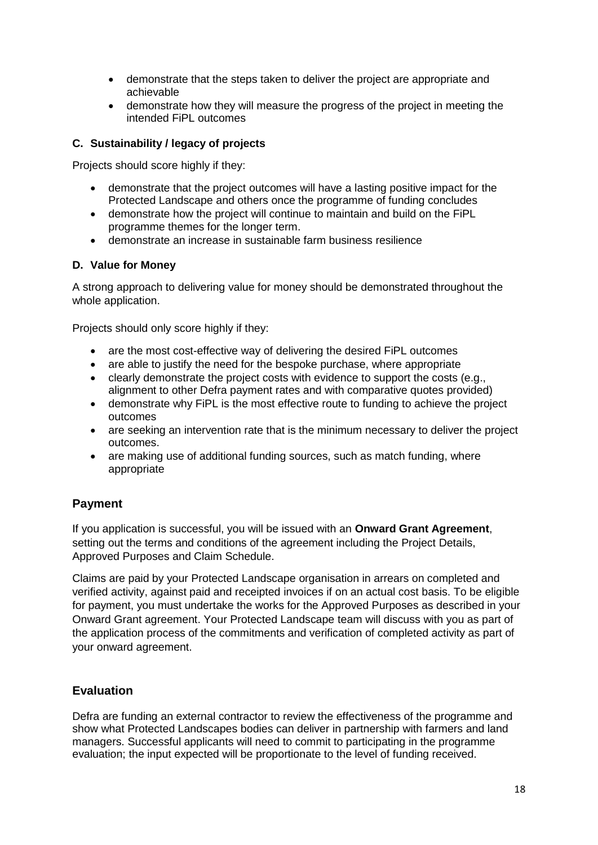- demonstrate that the steps taken to deliver the project are appropriate and achievable
- demonstrate how they will measure the progress of the project in meeting the intended FiPL outcomes

## **C. Sustainability / legacy of projects**

Projects should score highly if they:

- demonstrate that the project outcomes will have a lasting positive impact for the Protected Landscape and others once the programme of funding concludes
- demonstrate how the project will continue to maintain and build on the FiPL programme themes for the longer term.
- demonstrate an increase in sustainable farm business resilience

#### **D. Value for Money**

A strong approach to delivering value for money should be demonstrated throughout the whole application.

Projects should only score highly if they:

- are the most cost-effective way of delivering the desired FiPL outcomes
- are able to justify the need for the bespoke purchase, where appropriate
- clearly demonstrate the project costs with evidence to support the costs (e.g., alignment to other Defra payment rates and with comparative quotes provided)
- demonstrate why FiPL is the most effective route to funding to achieve the project outcomes
- are seeking an intervention rate that is the minimum necessary to deliver the project outcomes.
- are making use of additional funding sources, such as match funding, where appropriate

# <span id="page-17-0"></span>**Payment**

If you application is successful, you will be issued with an **Onward Grant Agreement**, setting out the terms and conditions of the agreement including the Project Details, Approved Purposes and Claim Schedule.

Claims are paid by your Protected Landscape organisation in arrears on completed and verified activity, against paid and receipted invoices if on an actual cost basis. To be eligible for payment, you must undertake the works for the Approved Purposes as described in your Onward Grant agreement. Your Protected Landscape team will discuss with you as part of the application process of the commitments and verification of completed activity as part of your onward agreement.

## <span id="page-17-1"></span>**Evaluation**

Defra are funding an external contractor to review the effectiveness of the programme and show what Protected Landscapes bodies can deliver in partnership with farmers and land managers. Successful applicants will need to commit to participating in the programme evaluation; the input expected will be proportionate to the level of funding received.